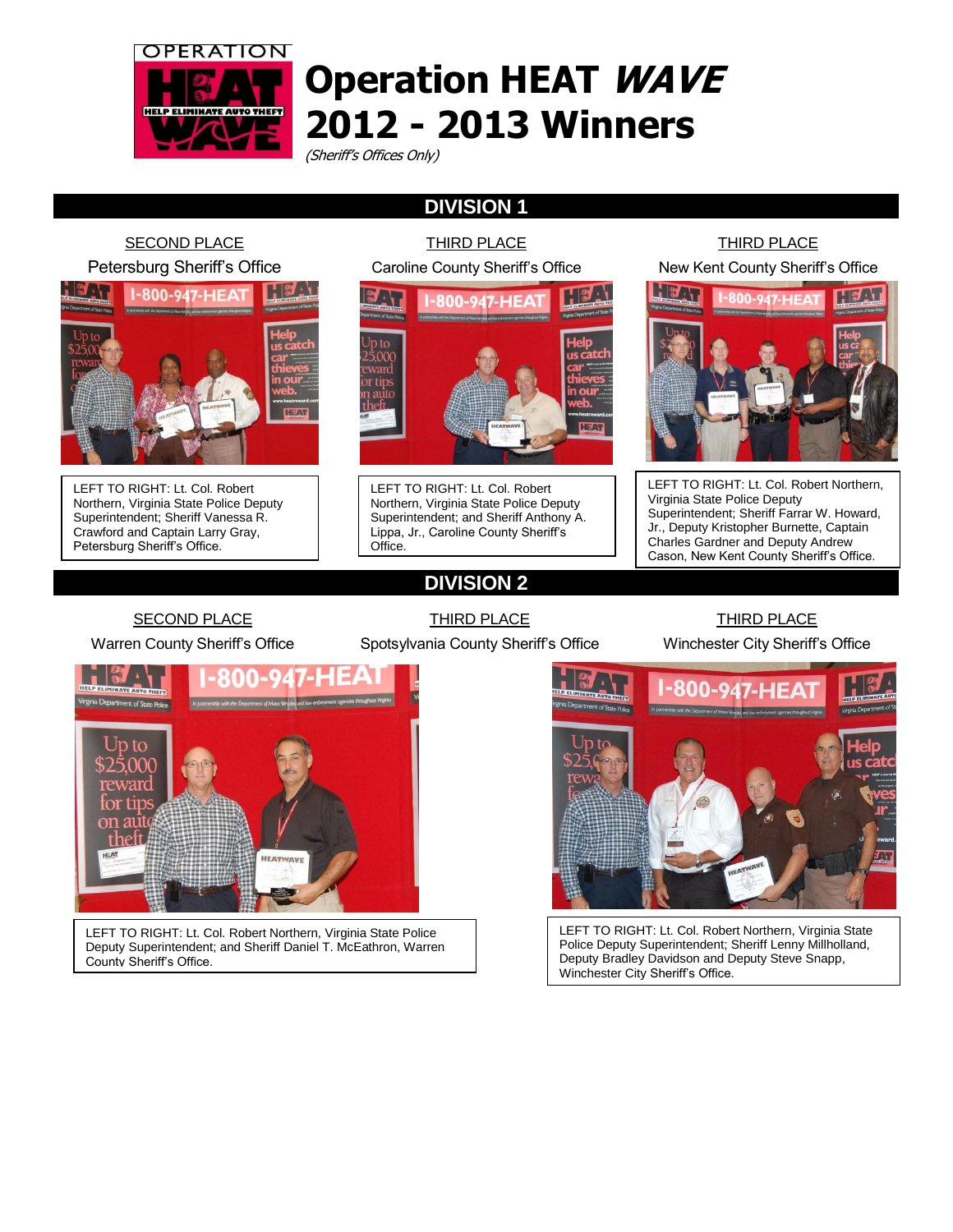

SECOND PLACE

## **Operation HEAT WAVE 2012 - 2013 Winners**

(Sheriff's Offices Only)

## **DIVISION 1**

THIRD PLACE

Petersburg Sheriff's Office Caroline County Sheriff's Office **I-800-947-HEAT** LEFT TO RIGHT: Lt. Col. Robert LEFT TO RIGHT: Lt. Col. Robert Northern, Virginia State Police Deputy Northern, Virginia State Police Deputy Superintendent; Sheriff Vanessa R. Superintendent; and Sheriff Anthony A. Crawford and Captain Larry Gray, Lippa, Jr., Caroline County Sheriff's Petersburg Sheriff's Office. Office.

### THIRD PLACE New Kent County Sheriff's Office



LEFT TO RIGHT: Lt. Col. Robert Northern, Virginia State Police Deputy Superintendent; Sheriff Farrar W. Howard, Jr., Deputy Kristopher Burnette, Captain Charles Gardner and Deputy Andrew Cason, New Kent County Sheriff's Office.

SECOND PLACE

Warren County Sheriff's Office

THIRD PLACE Spotsylvania County Sheriff's Office

**DIVISION 2**

### THIRD PLACE

Winchester City Sheriff's Office



LEFT TO RIGHT: Lt. Col. Robert Northern, Virginia State Police Deputy Superintendent; and Sheriff Daniel T. McEathron, Warren County Sheriff's Office.

LEFT TO RIGHT: Lt. Col. Robert Northern, Virginia State Police Deputy Superintendent; Sheriff Lenny Millholland, Deputy Bradley Davidson and Deputy Steve Snapp, Winchester City Sheriff's Office.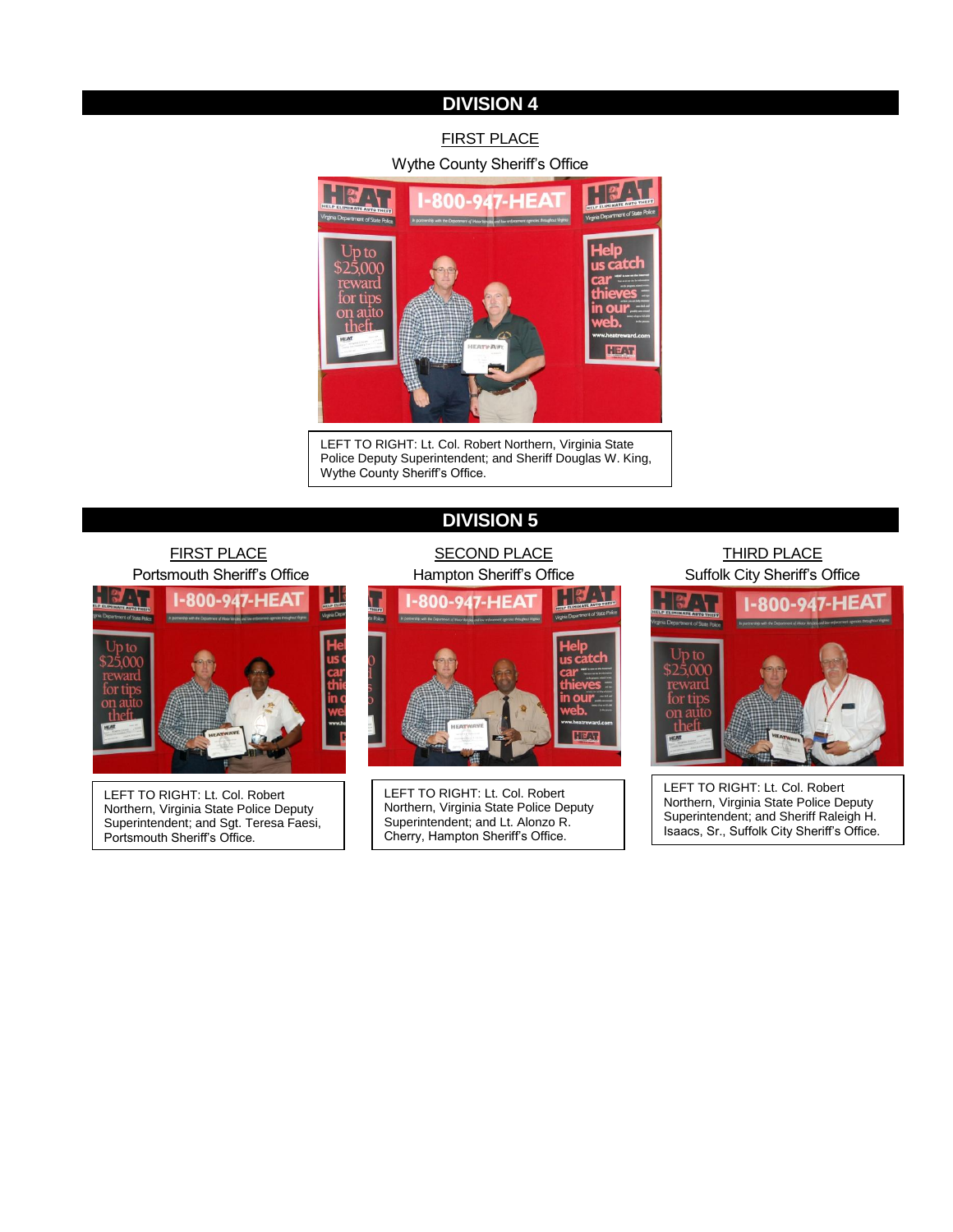### **DIVISION 4**

### FIRST PLACE Wythe County Sheriff's Office



LEFT TO RIGHT: Lt. Col. Robert Northern, Virginia State Police Deputy Superintendent; and Sheriff Douglas W. King, Wythe County Sheriff's Office.

### **DIVISION 5**

# FIRST PLACE Portsmouth Sheriff's Office 7 . L -800-947-HEA

LEFT TO RIGHT: Lt. Col. Robert Northern, Virginia State Police Deputy Superintendent; and Sgt. Teresa Faesi, Portsmouth Sheriff's Office.

# **SECOND PLACE** Hampton Sheriff's Office  $\blacksquare$ n

LEFT TO RIGHT: Lt. Col. Robert Northern, Virginia State Police Deputy Superintendent; and Lt. Alonzo R. Cherry, Hampton Sheriff's Office.

### THIRD PLACE Suffolk City Sheriff's Office



LEFT TO RIGHT: Lt. Col. Robert Northern, Virginia State Police Deputy Superintendent; and Sheriff Raleigh H. Isaacs, Sr., Suffolk City Sheriff's Office.